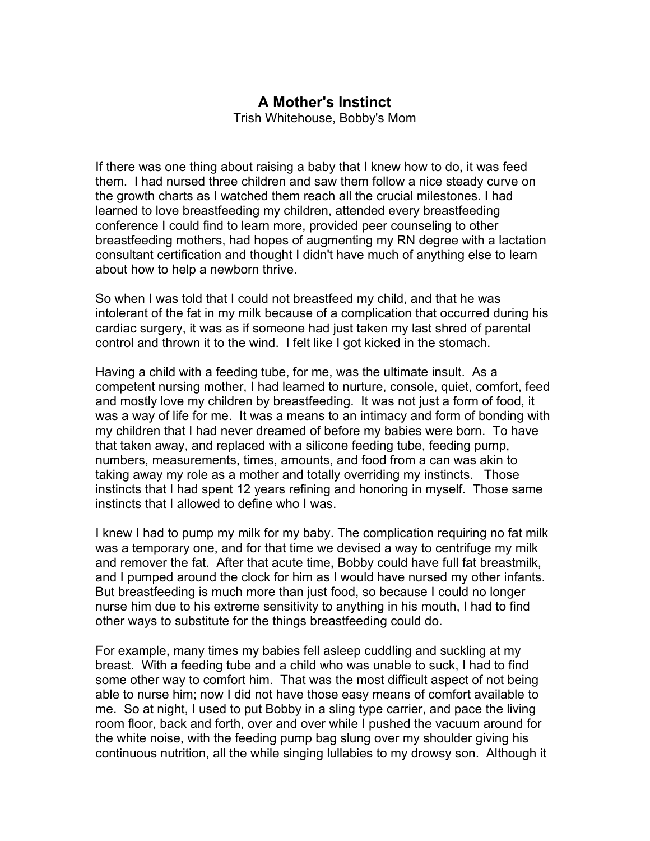## **A Mother's Instinct**

Trish Whitehouse, Bobby's Mom

If there was one thing about raising a baby that I knew how to do, it was feed them. I had nursed three children and saw them follow a nice steady curve on the growth charts as I watched them reach all the crucial milestones. I had learned to love breastfeeding my children, attended every breastfeeding conference I could find to learn more, provided peer counseling to other breastfeeding mothers, had hopes of augmenting my RN degree with a lactation consultant certification and thought I didn't have much of anything else to learn about how to help a newborn thrive.

So when I was told that I could not breastfeed my child, and that he was intolerant of the fat in my milk because of a complication that occurred during his cardiac surgery, it was as if someone had just taken my last shred of parental control and thrown it to the wind. I felt like I got kicked in the stomach.

Having a child with a feeding tube, for me, was the ultimate insult. As a competent nursing mother, I had learned to nurture, console, quiet, comfort, feed and mostly love my children by breastfeeding. It was not just a form of food, it was a way of life for me. It was a means to an intimacy and form of bonding with my children that I had never dreamed of before my babies were born. To have that taken away, and replaced with a silicone feeding tube, feeding pump, numbers, measurements, times, amounts, and food from a can was akin to taking away my role as a mother and totally overriding my instincts. Those instincts that I had spent 12 years refining and honoring in myself. Those same instincts that I allowed to define who I was.

I knew I had to pump my milk for my baby. The complication requiring no fat milk was a temporary one, and for that time we devised a way to centrifuge my milk and remover the fat. After that acute time, Bobby could have full fat breastmilk, and I pumped around the clock for him as I would have nursed my other infants. But breastfeeding is much more than just food, so because I could no longer nurse him due to his extreme sensitivity to anything in his mouth, I had to find other ways to substitute for the things breastfeeding could do.

For example, many times my babies fell asleep cuddling and suckling at my breast. With a feeding tube and a child who was unable to suck, I had to find some other way to comfort him. That was the most difficult aspect of not being able to nurse him; now I did not have those easy means of comfort available to me. So at night, I used to put Bobby in a sling type carrier, and pace the living room floor, back and forth, over and over while I pushed the vacuum around for the white noise, with the feeding pump bag slung over my shoulder giving his continuous nutrition, all the while singing lullabies to my drowsy son. Although it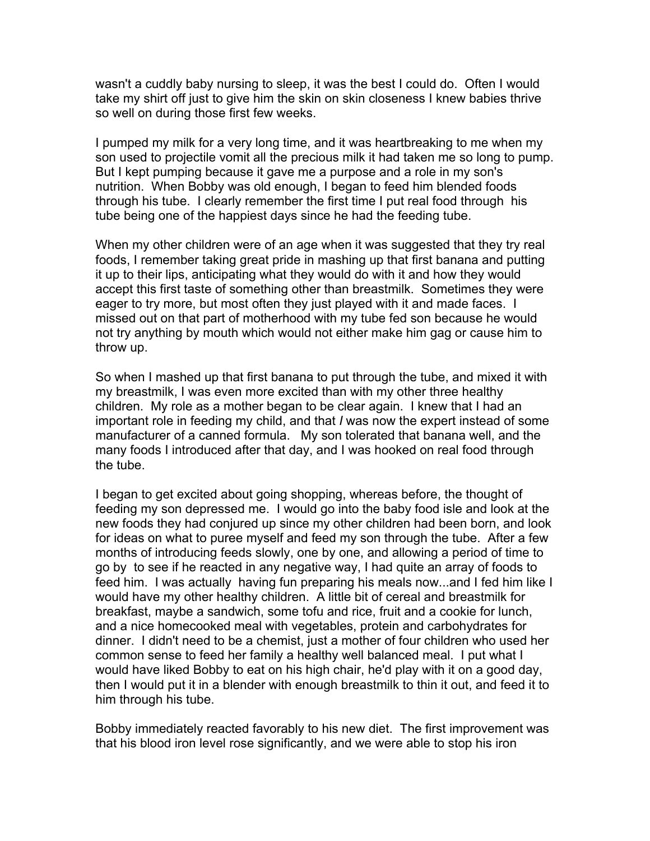wasn't a cuddly baby nursing to sleep, it was the best I could do. Often I would take my shirt off just to give him the skin on skin closeness I knew babies thrive so well on during those first few weeks.

I pumped my milk for a very long time, and it was heartbreaking to me when my son used to projectile vomit all the precious milk it had taken me so long to pump. But I kept pumping because it gave me a purpose and a role in my son's nutrition. When Bobby was old enough, I began to feed him blended foods through his tube. I clearly remember the first time I put real food through his tube being one of the happiest days since he had the feeding tube.

When my other children were of an age when it was suggested that they try real foods, I remember taking great pride in mashing up that first banana and putting it up to their lips, anticipating what they would do with it and how they would accept this first taste of something other than breastmilk. Sometimes they were eager to try more, but most often they just played with it and made faces. I missed out on that part of motherhood with my tube fed son because he would not try anything by mouth which would not either make him gag or cause him to throw up.

So when I mashed up that first banana to put through the tube, and mixed it with my breastmilk, I was even more excited than with my other three healthy children. My role as a mother began to be clear again. I knew that I had an important role in feeding my child, and that *I* was now the expert instead of some manufacturer of a canned formula. My son tolerated that banana well, and the many foods I introduced after that day, and I was hooked on real food through the tube.

I began to get excited about going shopping, whereas before, the thought of feeding my son depressed me. I would go into the baby food isle and look at the new foods they had conjured up since my other children had been born, and look for ideas on what to puree myself and feed my son through the tube. After a few months of introducing feeds slowly, one by one, and allowing a period of time to go by to see if he reacted in any negative way, I had quite an array of foods to feed him. I was actually having fun preparing his meals now...and I fed him like I would have my other healthy children. A little bit of cereal and breastmilk for breakfast, maybe a sandwich, some tofu and rice, fruit and a cookie for lunch, and a nice homecooked meal with vegetables, protein and carbohydrates for dinner. I didn't need to be a chemist, just a mother of four children who used her common sense to feed her family a healthy well balanced meal. I put what I would have liked Bobby to eat on his high chair, he'd play with it on a good day, then I would put it in a blender with enough breastmilk to thin it out, and feed it to him through his tube.

Bobby immediately reacted favorably to his new diet. The first improvement was that his blood iron level rose significantly, and we were able to stop his iron